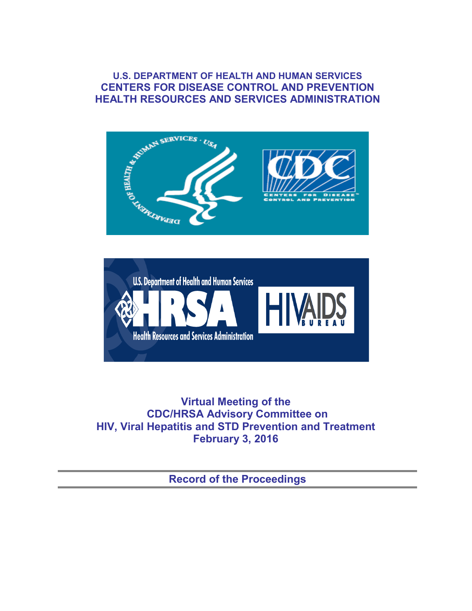### **U.S. DEPARTMENT OF HEALTH AND HUMAN SERVICES CENTERS FOR DISEASE CONTROL AND PREVENTION HEALTH RESOURCES AND SERVICES ADMINISTRATION**





**Virtual Meeting of the CDC/HRSA Advisory Committee on HIV, Viral Hepatitis and STD Prevention and Treatment February 3, 2016**

**Record of the Proceedings**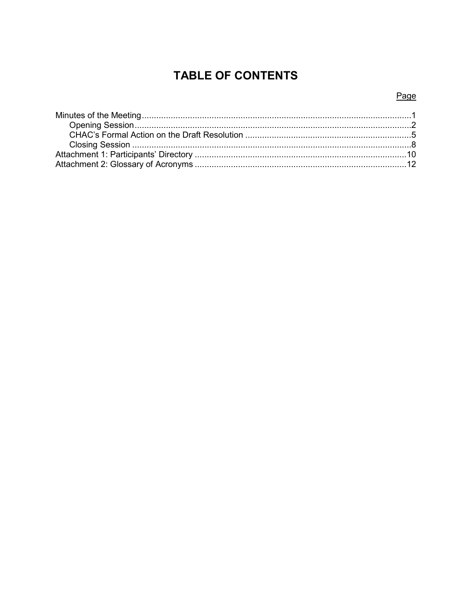# **TABLE OF CONTENTS**

### Page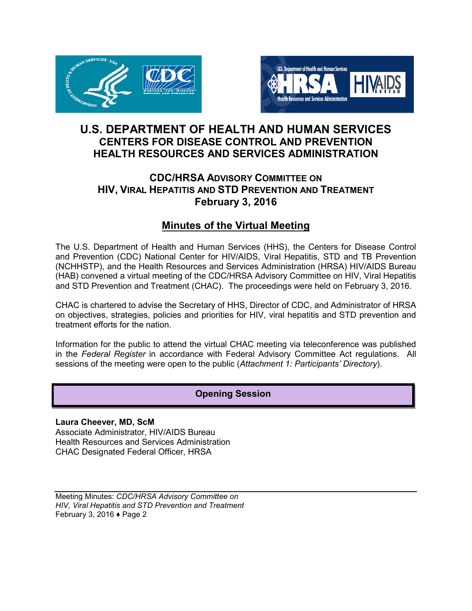<span id="page-2-0"></span>



# **U.S. DEPARTMENT OF HEALTH AND HUMAN SERVICES CENTERS FOR DISEASE CONTROL AND PREVENTION HEALTH RESOURCES AND SERVICES ADMINISTRATION**

## **CDC/HRSA ADVISORY COMMITTEE ON HIV, VIRAL HEPATITIS AND STD PREVENTION AND TREATMENT February 3, 2016**

# **Minutes of the Virtual Meeting**

The U.S. Department of Health and Human Services (HHS), the Centers for Disease Control and Prevention (CDC) National Center for HIV/AIDS, Viral Hepatitis, STD and TB Prevention (NCHHSTP), and the Health Resources and Services Administration (HRSA) HIV/AIDS Bureau (HAB) convened a virtual meeting of the CDC/HRSA Advisory Committee on HIV, Viral Hepatitis and STD Prevention and Treatment (CHAC). The proceedings were held on February 3, 2016.

CHAC is chartered to advise the Secretary of HHS, Director of CDC, and Administrator of HRSA on objectives, strategies, policies and priorities for HIV, viral hepatitis and STD prevention and treatment efforts for the nation.

Information for the public to attend the virtual CHAC meeting via teleconference was published in the *Federal Register* in accordance with Federal Advisory Committee Act regulations. All sessions of the meeting were open to the public (*Attachment 1: Participants' Directory*).

## **Opening Session**

**Laura Cheever, MD, ScM** Associate Administrator, HIV/AIDS Bureau Health Resources and Services Administration CHAC Designated Federal Officer, HRSA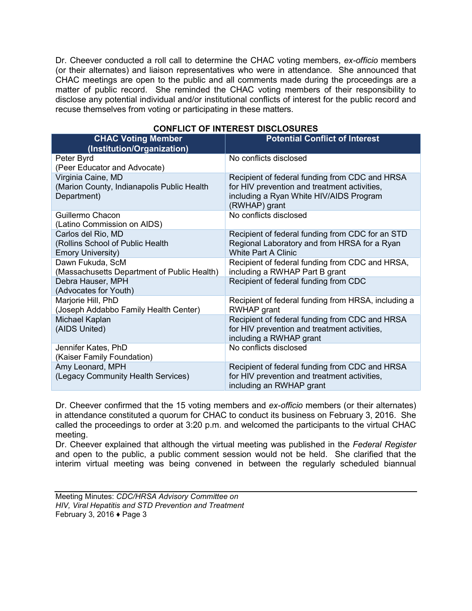Dr. Cheever conducted a roll call to determine the CHAC voting members, *ex-officio* members (or their alternates) and liaison representatives who were in attendance. She announced that CHAC meetings are open to the public and all comments made during the proceedings are a matter of public record. She reminded the CHAC voting members of their responsibility to disclose any potential individual and/or institutional conflicts of interest for the public record and recuse themselves from voting or participating in these matters.

| <b>CHAC Voting Member</b><br>(Institution/Organization)                            | <b>Potential Conflict of Interest</b>                                                                                                                      |
|------------------------------------------------------------------------------------|------------------------------------------------------------------------------------------------------------------------------------------------------------|
| Peter Byrd                                                                         | No conflicts disclosed                                                                                                                                     |
| (Peer Educator and Advocate)                                                       |                                                                                                                                                            |
| Virginia Caine, MD<br>(Marion County, Indianapolis Public Health<br>Department)    | Recipient of federal funding from CDC and HRSA<br>for HIV prevention and treatment activities,<br>including a Ryan White HIV/AIDS Program<br>(RWHAP) grant |
| Guillermo Chacon                                                                   | No conflicts disclosed                                                                                                                                     |
| (Latino Commission on AIDS)                                                        |                                                                                                                                                            |
| Carlos del Rio, MD<br>(Rollins School of Public Health<br><b>Emory University)</b> | Recipient of federal funding from CDC for an STD<br>Regional Laboratory and from HRSA for a Ryan<br><b>White Part A Clinic</b>                             |
| Dawn Fukuda, ScM<br>(Massachusetts Department of Public Health)                    | Recipient of federal funding from CDC and HRSA,<br>including a RWHAP Part B grant                                                                          |
| Debra Hauser, MPH<br>(Advocates for Youth)                                         | Recipient of federal funding from CDC                                                                                                                      |
| Marjorie Hill, PhD<br>(Joseph Addabbo Family Health Center)                        | Recipient of federal funding from HRSA, including a<br><b>RWHAP</b> grant                                                                                  |
| Michael Kaplan<br>(AIDS United)                                                    | Recipient of federal funding from CDC and HRSA<br>for HIV prevention and treatment activities,<br>including a RWHAP grant                                  |
| Jennifer Kates, PhD<br>(Kaiser Family Foundation)                                  | No conflicts disclosed                                                                                                                                     |
| Amy Leonard, MPH<br>(Legacy Community Health Services)                             | Recipient of federal funding from CDC and HRSA<br>for HIV prevention and treatment activities,<br>including an RWHAP grant                                 |

### **CONFLICT OF INTEREST DISCLOSURES**

Dr. Cheever confirmed that the 15 voting members and *ex-officio* members (or their alternates) in attendance constituted a quorum for CHAC to conduct its business on February 3, 2016. She called the proceedings to order at 3:20 p.m. and welcomed the participants to the virtual CHAC meeting.

Dr. Cheever explained that although the virtual meeting was published in the *Federal Register* and open to the public, a public comment session would not be held. She clarified that the interim virtual meeting was being convened in between the regularly scheduled biannual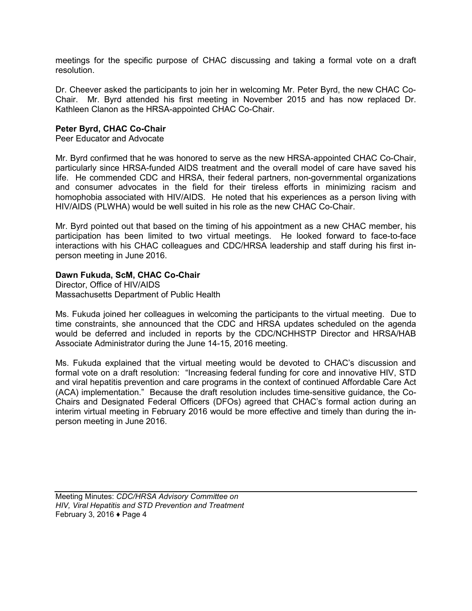meetings for the specific purpose of CHAC discussing and taking a formal vote on a draft resolution.

Dr. Cheever asked the participants to join her in welcoming Mr. Peter Byrd, the new CHAC Co-Chair. Mr. Byrd attended his first meeting in November 2015 and has now replaced Dr. Kathleen Clanon as the HRSA-appointed CHAC Co-Chair.

#### **Peter Byrd, CHAC Co-Chair**

Peer Educator and Advocate

Mr. Byrd confirmed that he was honored to serve as the new HRSA-appointed CHAC Co-Chair, particularly since HRSA-funded AIDS treatment and the overall model of care have saved his life. He commended CDC and HRSA, their federal partners, non-governmental organizations and consumer advocates in the field for their tireless efforts in minimizing racism and homophobia associated with HIV/AIDS. He noted that his experiences as a person living with HIV/AIDS (PLWHA) would be well suited in his role as the new CHAC Co-Chair.

Mr. Byrd pointed out that based on the timing of his appointment as a new CHAC member, his participation has been limited to two virtual meetings. He looked forward to face-to-face interactions with his CHAC colleagues and CDC/HRSA leadership and staff during his first inperson meeting in June 2016.

#### **Dawn Fukuda, ScM, CHAC Co-Chair**

Director, Office of HIV/AIDS Massachusetts Department of Public Health

Ms. Fukuda joined her colleagues in welcoming the participants to the virtual meeting. Due to time constraints, she announced that the CDC and HRSA updates scheduled on the agenda would be deferred and included in reports by the CDC/NCHHSTP Director and HRSA/HAB Associate Administrator during the June 14-15, 2016 meeting.

Ms. Fukuda explained that the virtual meeting would be devoted to CHAC's discussion and formal vote on a draft resolution: "Increasing federal funding for core and innovative HIV, STD and viral hepatitis prevention and care programs in the context of continued Affordable Care Act (ACA) implementation." Because the draft resolution includes time-sensitive guidance, the Co-Chairs and Designated Federal Officers (DFOs) agreed that CHAC's formal action during an interim virtual meeting in February 2016 would be more effective and timely than during the inperson meeting in June 2016.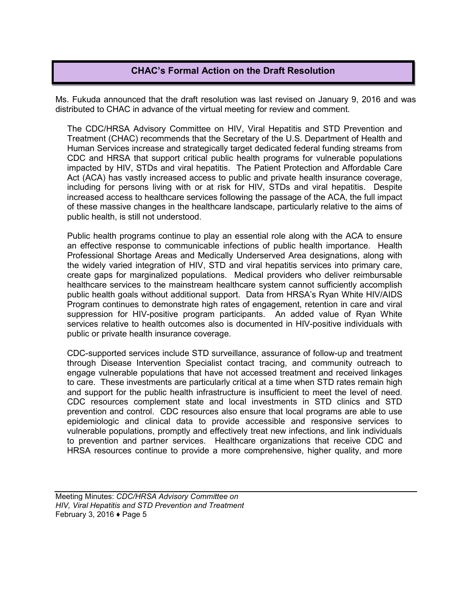#### **CHAC's Formal Action on the Draft Resolution**

<span id="page-5-0"></span>Ms. Fukuda announced that the draft resolution was last revised on January 9, 2016 and was distributed to CHAC in advance of the virtual meeting for review and comment.

The CDC/HRSA Advisory Committee on HIV, Viral Hepatitis and STD Prevention and Treatment (CHAC) recommends that the Secretary of the U.S. Department of Health and Human Services increase and strategically target dedicated federal funding streams from CDC and HRSA that support critical public health programs for vulnerable populations impacted by HIV, STDs and viral hepatitis. The Patient Protection and Affordable Care Act (ACA) has vastly increased access to public and private health insurance coverage, including for persons living with or at risk for HIV, STDs and viral hepatitis. Despite increased access to healthcare services following the passage of the ACA, the full impact of these massive changes in the healthcare landscape, particularly relative to the aims of public health, is still not understood.

Public health programs continue to play an essential role along with the ACA to ensure an effective response to communicable infections of public health importance. Health Professional Shortage Areas and Medically Underserved Area designations, along with the widely varied integration of HIV, STD and viral hepatitis services into primary care, create gaps for marginalized populations. Medical providers who deliver reimbursable healthcare services to the mainstream healthcare system cannot sufficiently accomplish public health goals without additional support. Data from HRSA's Ryan White HIV/AIDS Program continues to demonstrate high rates of engagement, retention in care and viral suppression for HIV-positive program participants. An added value of Ryan White services relative to health outcomes also is documented in HIV-positive individuals with public or private health insurance coverage.

CDC-supported services include STD surveillance, assurance of follow-up and treatment through Disease Intervention Specialist contact tracing, and community outreach to engage vulnerable populations that have not accessed treatment and received linkages to care. These investments are particularly critical at a time when STD rates remain high and support for the public health infrastructure is insufficient to meet the level of need. CDC resources complement state and local investments in STD clinics and STD prevention and control. CDC resources also ensure that local programs are able to use epidemiologic and clinical data to provide accessible and responsive services to vulnerable populations, promptly and effectively treat new infections, and link individuals to prevention and partner services. Healthcare organizations that receive CDC and HRSA resources continue to provide a more comprehensive, higher quality, and more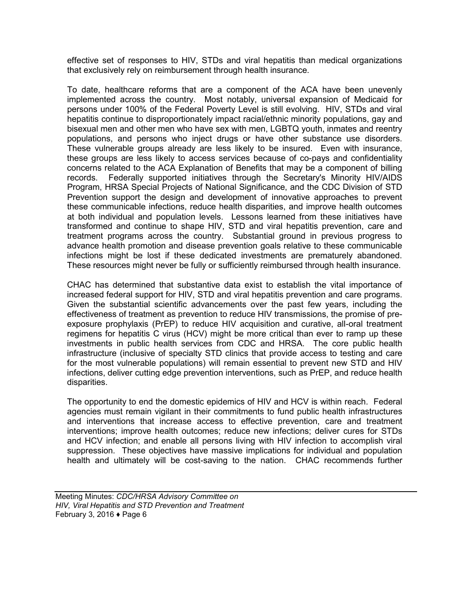effective set of responses to HIV, STDs and viral hepatitis than medical organizations that exclusively rely on reimbursement through health insurance.

To date, healthcare reforms that are a component of the ACA have been unevenly implemented across the country. Most notably, universal expansion of Medicaid for persons under 100% of the Federal Poverty Level is still evolving. HIV, STDs and viral hepatitis continue to disproportionately impact racial/ethnic minority populations, gay and bisexual men and other men who have sex with men, LGBTQ youth, inmates and reentry populations, and persons who inject drugs or have other substance use disorders. These vulnerable groups already are less likely to be insured. Even with insurance, these groups are less likely to access services because of co-pays and confidentiality concerns related to the ACA Explanation of Benefits that may be a component of billing records. Federally supported initiatives through the Secretary's Minority HIV/AIDS Program, HRSA Special Projects of National Significance, and the CDC Division of STD Prevention support the design and development of innovative approaches to prevent these communicable infections, reduce health disparities, and improve health outcomes at both individual and population levels. Lessons learned from these initiatives have transformed and continue to shape HIV, STD and viral hepatitis prevention, care and treatment programs across the country. Substantial ground in previous progress to advance health promotion and disease prevention goals relative to these communicable infections might be lost if these dedicated investments are prematurely abandoned. These resources might never be fully or sufficiently reimbursed through health insurance.

CHAC has determined that substantive data exist to establish the vital importance of increased federal support for HIV, STD and viral hepatitis prevention and care programs. Given the substantial scientific advancements over the past few years, including the effectiveness of treatment as prevention to reduce HIV transmissions, the promise of preexposure prophylaxis (PrEP) to reduce HIV acquisition and curative, all-oral treatment regimens for hepatitis C virus (HCV) might be more critical than ever to ramp up these investments in public health services from CDC and HRSA. The core public health infrastructure (inclusive of specialty STD clinics that provide access to testing and care for the most vulnerable populations) will remain essential to prevent new STD and HIV infections, deliver cutting edge prevention interventions, such as PrEP, and reduce health disparities.

The opportunity to end the domestic epidemics of HIV and HCV is within reach. Federal agencies must remain vigilant in their commitments to fund public health infrastructures and interventions that increase access to effective prevention, care and treatment interventions; improve health outcomes; reduce new infections; deliver cures for STDs and HCV infection; and enable all persons living with HIV infection to accomplish viral suppression. These objectives have massive implications for individual and population health and ultimately will be cost-saving to the nation. CHAC recommends further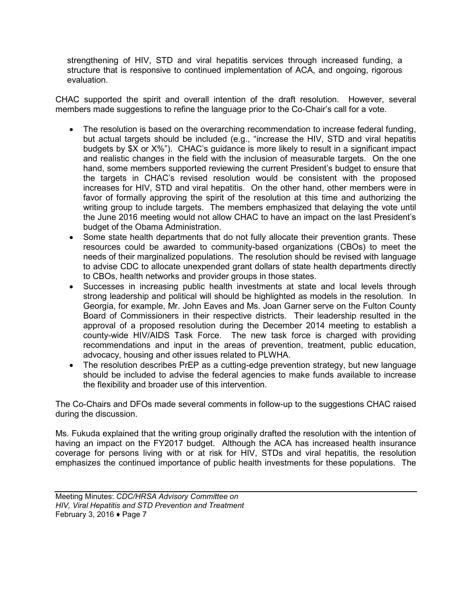strengthening of HIV, STD and viral hepatitis services through increased funding, a structure that is responsive to continued implementation of ACA, and ongoing, rigorous evaluation.

CHAC supported the spirit and overall intention of the draft resolution. However, several members made suggestions to refine the language prior to the Co-Chair's call for a vote.

- The resolution is based on the overarching recommendation to increase federal funding, but actual targets should be included (e.g., "increase the HIV, STD and viral hepatitis budgets by \$X or X%"). CHAC's guidance is more likely to result in a significant impact and realistic changes in the field with the inclusion of measurable targets. On the one hand, some members supported reviewing the current President's budget to ensure that the targets in CHAC's revised resolution would be consistent with the proposed increases for HIV, STD and viral hepatitis. On the other hand, other members were in favor of formally approving the spirit of the resolution at this time and authorizing the writing group to include targets. The members emphasized that delaying the vote until the June 2016 meeting would not allow CHAC to have an impact on the last President's budget of the Obama Administration.
- Some state health departments that do not fully allocate their prevention grants. These resources could be awarded to community-based organizations (CBOs) to meet the needs of their marginalized populations. The resolution should be revised with language to advise CDC to allocate unexpended grant dollars of state health departments directly to CBOs, health networks and provider groups in those states.
- Successes in increasing public health investments at state and local levels through strong leadership and political will should be highlighted as models in the resolution. In Georgia, for example, Mr. John Eaves and Ms. Joan Garner serve on the Fulton County Board of Commissioners in their respective districts. Their leadership resulted in the approval of a proposed resolution during the December 2014 meeting to establish a county-wide HIV/AIDS Task Force. The new task force is charged with providing recommendations and input in the areas of prevention, treatment, public education, advocacy, housing and other issues related to PLWHA.
- The resolution describes PrEP as a cutting-edge prevention strategy, but new language should be included to advise the federal agencies to make funds available to increase the flexibility and broader use of this intervention.

The Co-Chairs and DFOs made several comments in follow-up to the suggestions CHAC raised during the discussion.

Ms. Fukuda explained that the writing group originally drafted the resolution with the intention of having an impact on the FY2017 budget. Although the ACA has increased health insurance coverage for persons living with or at risk for HIV, STDs and viral hepatitis, the resolution emphasizes the continued importance of public health investments for these populations. The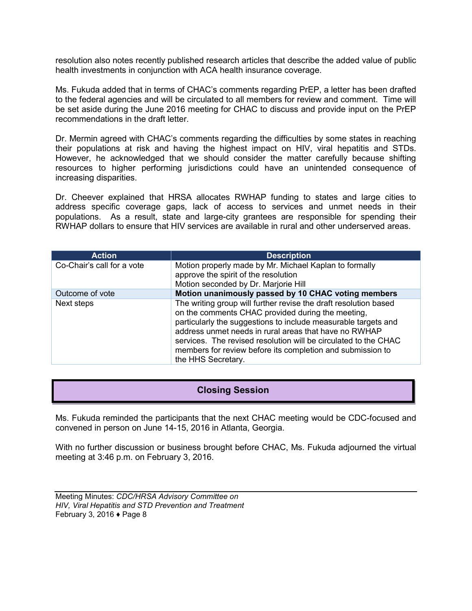<span id="page-8-0"></span>resolution also notes recently published research articles that describe the added value of public health investments in conjunction with ACA health insurance coverage.

Ms. Fukuda added that in terms of CHAC's comments regarding PrEP, a letter has been drafted to the federal agencies and will be circulated to all members for review and comment. Time will be set aside during the June 2016 meeting for CHAC to discuss and provide input on the PrEP recommendations in the draft letter.

Dr. Mermin agreed with CHAC's comments regarding the difficulties by some states in reaching their populations at risk and having the highest impact on HIV, viral hepatitis and STDs. However, he acknowledged that we should consider the matter carefully because shifting resources to higher performing jurisdictions could have an unintended consequence of increasing disparities.

Dr. Cheever explained that HRSA allocates RWHAP funding to states and large cities to address specific coverage gaps, lack of access to services and unmet needs in their populations. As a result, state and large-city grantees are responsible for spending their RWHAP dollars to ensure that HIV services are available in rural and other underserved areas.

| <b>Action</b>              | <b>Description</b>                                                                                                                                                                                                                                                                                                                                                                                      |
|----------------------------|---------------------------------------------------------------------------------------------------------------------------------------------------------------------------------------------------------------------------------------------------------------------------------------------------------------------------------------------------------------------------------------------------------|
| Co-Chair's call for a vote | Motion properly made by Mr. Michael Kaplan to formally<br>approve the spirit of the resolution<br>Motion seconded by Dr. Marjorie Hill                                                                                                                                                                                                                                                                  |
| Outcome of vote            | Motion unanimously passed by 10 CHAC voting members                                                                                                                                                                                                                                                                                                                                                     |
| Next steps                 | The writing group will further revise the draft resolution based<br>on the comments CHAC provided during the meeting,<br>particularly the suggestions to include measurable targets and<br>address unmet needs in rural areas that have no RWHAP<br>services. The revised resolution will be circulated to the CHAC<br>members for review before its completion and submission to<br>the HHS Secretary. |

### **Closing Session**

Ms. Fukuda reminded the participants that the next CHAC meeting would be CDC-focused and convened in person on June 14-15, 2016 in Atlanta, Georgia.

With no further discussion or business brought before CHAC, Ms. Fukuda adjourned the virtual meeting at 3:46 p.m. on February 3, 2016.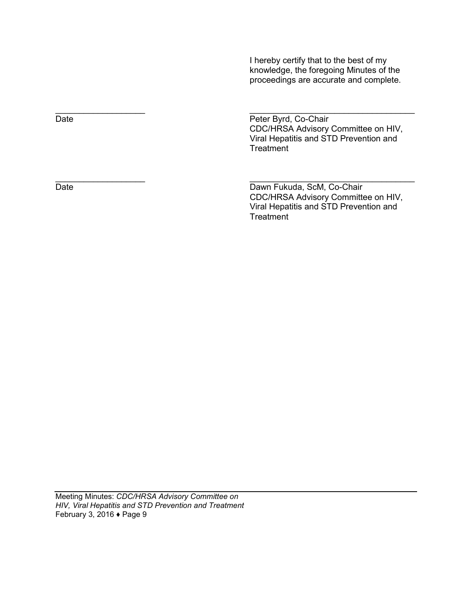I hereby certify that to the best of my knowledge, the foregoing Minutes of the proceedings are accurate and complete.

Date **Date** Peter Byrd, Co-Chair CDC/HRSA Advisory Committee on HIV, Viral Hepatitis and STD Prevention and **Treatment** 

Date Date Dawn Fukuda, ScM, Co-Chair CDC/HRSA Advisory Committee on HIV, Viral Hepatitis and STD Prevention and **Treatment** 

 $\overline{\phantom{a}}$  , and the contract of the contract of the contract of the contract of the contract of the contract of the contract of the contract of the contract of the contract of the contract of the contract of the contrac

 $\frac{1}{\sqrt{2}}$  ,  $\frac{1}{\sqrt{2}}$  ,  $\frac{1}{\sqrt{2}}$  ,  $\frac{1}{\sqrt{2}}$  ,  $\frac{1}{\sqrt{2}}$  ,  $\frac{1}{\sqrt{2}}$  ,  $\frac{1}{\sqrt{2}}$  ,  $\frac{1}{\sqrt{2}}$  ,  $\frac{1}{\sqrt{2}}$  ,  $\frac{1}{\sqrt{2}}$  ,  $\frac{1}{\sqrt{2}}$  ,  $\frac{1}{\sqrt{2}}$  ,  $\frac{1}{\sqrt{2}}$  ,  $\frac{1}{\sqrt{2}}$  ,  $\frac{1}{\sqrt{2}}$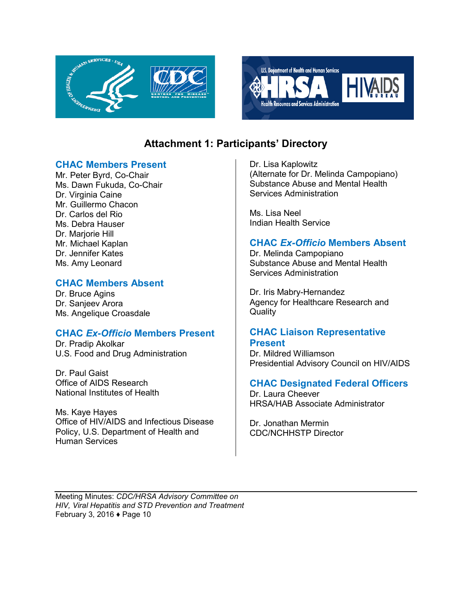<span id="page-10-0"></span>



# **Attachment 1: Participants' Directory**

#### **CHAC Members Present**

Mr. Peter Byrd, Co-Chair Ms. Dawn Fukuda, Co-Chair Dr. Virginia Caine Mr. Guillermo Chacon Dr. Carlos del Rio Ms. Debra Hauser Dr. Marjorie Hill Mr. Michael Kaplan Dr. Jennifer Kates Ms. Amy Leonard

### **CHAC Members Absent**

Dr. Bruce Agins Dr. Sanjeev Arora Ms. Angelique Croasdale

### **CHAC** *Ex-Officio* **Members Present**

Dr. Pradip Akolkar U.S. Food and Drug Administration

Dr. Paul Gaist Office of AIDS Research National Institutes of Health

Ms. Kaye Hayes Office of HIV/AIDS and Infectious Disease Policy, U.S. Department of Health and Human Services

Dr. Lisa Kaplowitz (Alternate for Dr. Melinda Campopiano) Substance Abuse and Mental Health Services Administration

Ms. Lisa Neel Indian Health Service

### **CHAC** *Ex-Officio* **Members Absent**

Dr. Melinda Campopiano Substance Abuse and Mental Health Services Administration

Dr. Iris Mabry-Hernandez Agency for Healthcare Research and **Quality** 

### **CHAC Liaison Representative Present**

Dr. Mildred Williamson Presidential Advisory Council on HIV/AIDS

### **CHAC Designated Federal Officers**

Dr. Laura Cheever HRSA/HAB Associate Administrator

Dr. Jonathan Mermin CDC/NCHHSTP Director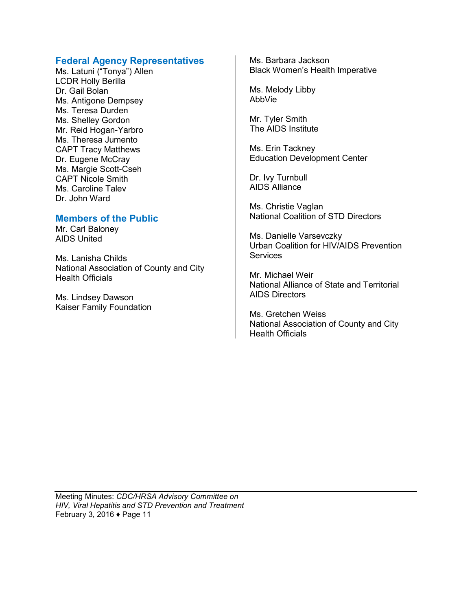### **Federal Agency Representatives**

Ms. Latuni ("Tonya") Allen LCDR Holly Berilla Dr. Gail Bolan Ms. Antigone Dempsey Ms. Teresa Durden Ms. Shelley Gordon Mr. Reid Hogan-Yarbro Ms. Theresa Jumento CAPT Tracy Matthews Dr. Eugene McCray Ms. Margie Scott-Cseh CAPT Nicole Smith Ms. Caroline Talev Dr. John Ward

#### **Members of the Public**

Mr. Carl Baloney AIDS United

Ms. Lanisha Childs National Association of County and City Health Officials

Ms. Lindsey Dawson Kaiser Family Foundation Ms. Barbara Jackson Black Women's Health Imperative

Ms. Melody Libby AbbVie

Mr. Tyler Smith The AIDS Institute

Ms. Erin Tackney Education Development Center

Dr. Ivy Turnbull AIDS Alliance

Ms. Christie Vaglan National Coalition of STD Directors

Ms. Danielle Varsevczky Urban Coalition for HIV/AIDS Prevention **Services** 

Mr. Michael Weir National Alliance of State and Territorial AIDS Directors

Ms. Gretchen Weiss National Association of County and City Health Officials